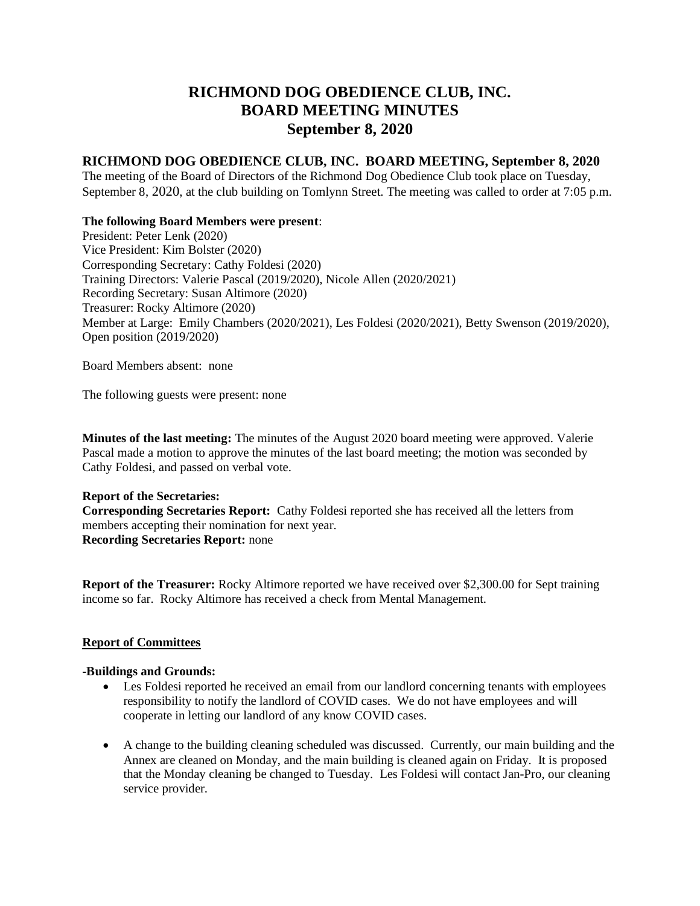# **RICHMOND DOG OBEDIENCE CLUB, INC. BOARD MEETING MINUTES September 8, 2020**

## **RICHMOND DOG OBEDIENCE CLUB, INC. BOARD MEETING, September 8, 2020**

The meeting of the Board of Directors of the Richmond Dog Obedience Club took place on Tuesday, September 8, 2020, at the club building on Tomlynn Street. The meeting was called to order at 7:05 p.m.

### **The following Board Members were present**:

President: Peter Lenk (2020) Vice President: Kim Bolster (2020) Corresponding Secretary: Cathy Foldesi (2020) Training Directors: Valerie Pascal (2019/2020), Nicole Allen (2020/2021) Recording Secretary: Susan Altimore (2020) Treasurer: Rocky Altimore (2020) Member at Large: Emily Chambers (2020/2021), Les Foldesi (2020/2021), Betty Swenson (2019/2020), Open position (2019/2020)

Board Members absent: none

The following guests were present: none

**Minutes of the last meeting:** The minutes of the August 2020 board meeting were approved. Valerie Pascal made a motion to approve the minutes of the last board meeting; the motion was seconded by Cathy Foldesi, and passed on verbal vote.

**Report of the Secretaries: Corresponding Secretaries Report:** Cathy Foldesi reported she has received all the letters from members accepting their nomination for next year. **Recording Secretaries Report:** none

**Report of the Treasurer:** Rocky Altimore reported we have received over \$2,300.00 for Sept training income so far. Rocky Altimore has received a check from Mental Management.

#### **Report of Committees**

#### **-Buildings and Grounds:**

- Les Foldesi reported he received an email from our landlord concerning tenants with employees responsibility to notify the landlord of COVID cases. We do not have employees and will cooperate in letting our landlord of any know COVID cases.
- A change to the building cleaning scheduled was discussed. Currently, our main building and the Annex are cleaned on Monday, and the main building is cleaned again on Friday. It is proposed that the Monday cleaning be changed to Tuesday. Les Foldesi will contact Jan-Pro, our cleaning service provider.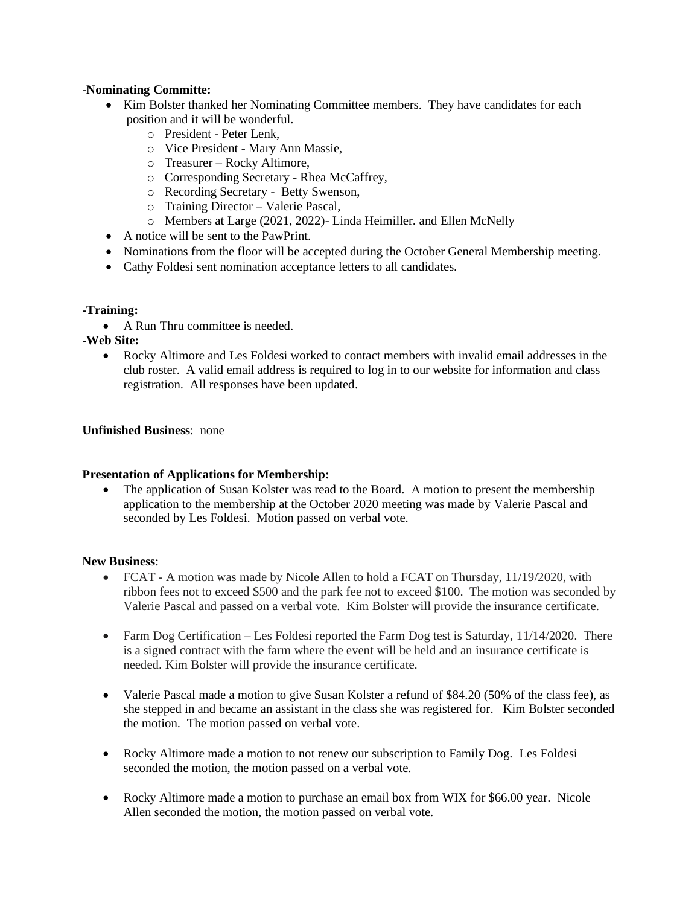#### **-Nominating Committe:**

- Kim Bolster thanked her Nominating Committee members. They have candidates for each position and it will be wonderful.
	- o President Peter Lenk,
	- o Vice President Mary Ann Massie,
	- o Treasurer Rocky Altimore,
	- o Corresponding Secretary Rhea McCaffrey,
	- o Recording Secretary Betty Swenson,
	- o Training Director Valerie Pascal,
	- o Members at Large (2021, 2022)- Linda Heimiller. and Ellen McNelly
- A notice will be sent to the PawPrint.
- Nominations from the floor will be accepted during the October General Membership meeting.
- Cathy Foldesi sent nomination acceptance letters to all candidates.

#### **-Training:**

- A Run Thru committee is needed.
- **-Web Site:** 
	- Rocky Altimore and Les Foldesi worked to contact members with invalid email addresses in the club roster. A valid email address is required to log in to our website for information and class registration. All responses have been updated.

## **Unfinished Business**: none

#### **Presentation of Applications for Membership:**

• The application of Susan Kolster was read to the Board. A motion to present the membership application to the membership at the October 2020 meeting was made by Valerie Pascal and seconded by Les Foldesi. Motion passed on verbal vote.

#### **New Business**:

- FCAT A motion was made by Nicole Allen to hold a FCAT on Thursday, 11/19/2020, with ribbon fees not to exceed \$500 and the park fee not to exceed \$100. The motion was seconded by Valerie Pascal and passed on a verbal vote. Kim Bolster will provide the insurance certificate.
- Farm Dog Certification Les Foldesi reported the Farm Dog test is Saturday, 11/14/2020. There is a signed contract with the farm where the event will be held and an insurance certificate is needed. Kim Bolster will provide the insurance certificate.
- Valerie Pascal made a motion to give Susan Kolster a refund of \$84.20 (50% of the class fee), as she stepped in and became an assistant in the class she was registered for. Kim Bolster seconded the motion. The motion passed on verbal vote.
- Rocky Altimore made a motion to not renew our subscription to Family Dog. Les Foldesi seconded the motion, the motion passed on a verbal vote.
- Rocky Altimore made a motion to purchase an email box from WIX for \$66.00 year. Nicole Allen seconded the motion, the motion passed on verbal vote.